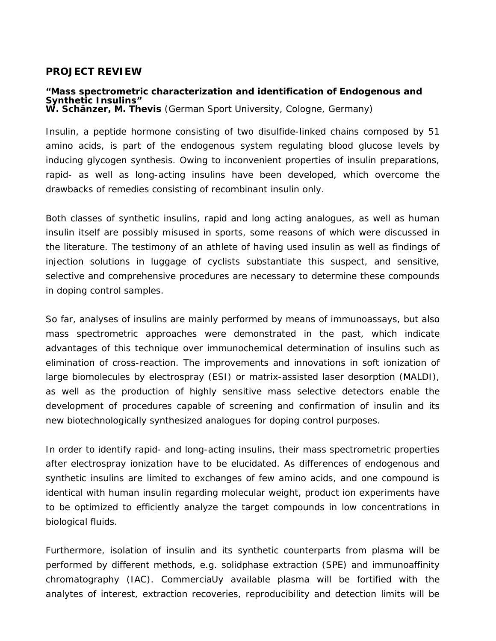#### **PROJECT REVIEW**

# **"Mass spectrometric characterization and identification of Endogenous and W. Schänzer, M. Thevis** (German Sport University, Cologne, Germany)

Insulin, a peptide hormone consisting of two disulfide-linked chains composed by 51 amino acids, is part of the endogenous system regulating blood glucose levels by inducing glycogen synthesis. Owing to inconvenient properties of insulin preparations, rapid- as well as long-acting insulins have been developed, which overcome the drawbacks of remedies consisting of recombinant insulin only.

Both classes of synthetic insulins, rapid and long acting analogues, as well as human insulin itself are possibly misused in sports, some reasons of which were discussed in the literature. The testimony of an athlete of having used insulin as well as findings of injection solutions in luggage of cyclists substantiate this suspect, and sensitive, selective and comprehensive procedures are necessary to determine these compounds in doping control samples.

So far, analyses of insulins are mainly performed by means of immunoassays, but also mass spectrometric approaches were demonstrated in the past, which indicate advantages of this technique over immunochemical determination of insulins such as elimination of cross-reaction. The improvements and innovations in soft ionization of large biomolecules by electrospray (ESI) or matrix-assisted laser desorption (MALDI), as well as the production of highly sensitive mass selective detectors enable the development of procedures capable of screening and confirmation of insulin and its new biotechnologically synthesized analogues for doping control purposes.

In order to identify rapid- and long-acting insulins, their mass spectrometric properties after electrospray ionization have to be elucidated. As differences of endogenous and synthetic insulins are limited to exchanges of few amino acids, and one compound is identical with human insulin regarding molecular weight, product ion experiments have to be optimized to efficiently analyze the target compounds in low concentrations in biological fluids.

Furthermore, isolation of insulin and its synthetic counterparts from plasma will be performed by different methods, e.g. solidphase extraction (SPE) and immunoaffinity chromatography (IAC). CommerciaUy available plasma will be fortified with the analytes of interest, extraction recoveries, reproducibility and detection limits will be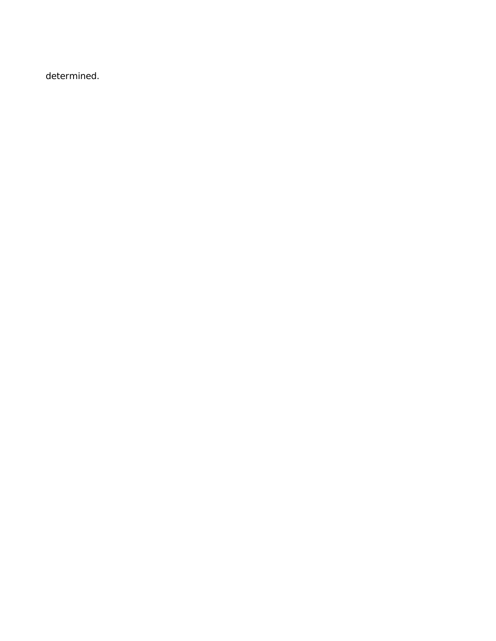determined.